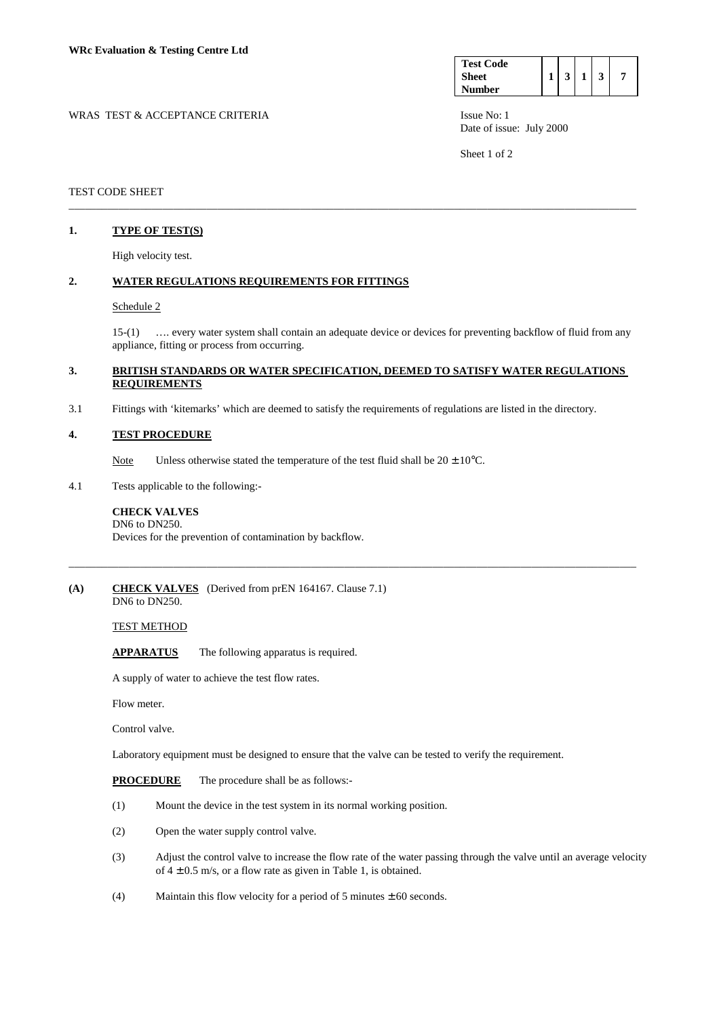| <b>Test Code</b> |    |  |  |
|------------------|----|--|--|
| Sheet            | -3 |  |  |
| <b>Number</b>    |    |  |  |

WRAS TEST & ACCEPTANCE CRITERIA **ISSUE NO:** 1 Date of issue: July 2000

Sheet 1 of 2

## TEST CODE SHEET

## **1. TYPE OF TEST(S)**

High velocity test.

### **2. WATER REGULATIONS REQUIREMENTS FOR FITTINGS**

#### Schedule 2

 15-(1) …. every water system shall contain an adequate device or devices for preventing backflow of fluid from any appliance, fitting or process from occurring.

## **3. BRITISH STANDARDS OR WATER SPECIFICATION, DEEMED TO SATISFY WATER REGULATIONS REQUIREMENTS**

\_\_\_\_\_\_\_\_\_\_\_\_\_\_\_\_\_\_\_\_\_\_\_\_\_\_\_\_\_\_\_\_\_\_\_\_\_\_\_\_\_\_\_\_\_\_\_\_\_\_\_\_\_\_\_\_\_\_\_\_\_\_\_\_\_\_\_\_\_\_\_\_\_\_\_\_\_\_\_\_\_\_\_\_\_\_\_\_\_\_\_\_\_\_\_\_\_\_\_\_\_\_\_

\_\_\_\_\_\_\_\_\_\_\_\_\_\_\_\_\_\_\_\_\_\_\_\_\_\_\_\_\_\_\_\_\_\_\_\_\_\_\_\_\_\_\_\_\_\_\_\_\_\_\_\_\_\_\_\_\_\_\_\_\_\_\_\_\_\_\_\_\_\_\_\_\_\_\_\_\_\_\_\_\_\_\_\_\_\_\_\_\_\_\_\_\_\_\_\_\_\_\_\_\_\_\_

3.1 Fittings with 'kitemarks' which are deemed to satisfy the requirements of regulations are listed in the directory.

## **4. TEST PROCEDURE**

- Note Unless otherwise stated the temperature of the test fluid shall be  $20 \pm 10^{\circ}$ C.
- 4.1 Tests applicable to the following:-

#### **CHECK VALVES**  DN6 to DN250.

Devices for the prevention of contamination by backflow.

#### **(A) CHECK VALVES** (Derived from prEN 164167. Clause 7.1) DN6 to DN250.

TEST METHOD

**APPARATUS** The following apparatus is required.

A supply of water to achieve the test flow rates.

Flow meter.

Control valve.

Laboratory equipment must be designed to ensure that the valve can be tested to verify the requirement.

**PROCEDURE** The procedure shall be as follows:-

- (1) Mount the device in the test system in its normal working position.
- (2) Open the water supply control valve.
- (3) Adjust the control valve to increase the flow rate of the water passing through the valve until an average velocity of  $4 \pm 0.5$  m/s, or a flow rate as given in Table 1, is obtained.
- (4) Maintain this flow velocity for a period of 5 minutes  $\pm 60$  seconds.